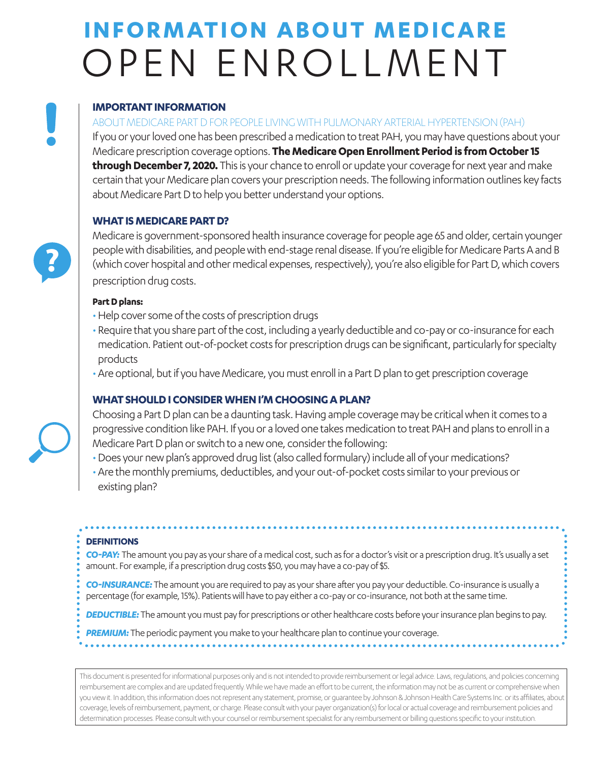# **INFORMATION ABOUT MEDICARE**  OPEN ENROLLMENT

### **IMPORTANT INFORMATION**

### ABOUT MEDICARE PART D FOR PEOPLE LIVING WITH PULMONARY ARTERIAL HYPERTENSION (PAH)

If you or your loved one has been prescribed a medication to treat PAH, you may have questions about your Medicare prescription coverage options. **The Medicare Open Enrollment Period is from October 15 through December 7, 2020.** This is your chance to enroll or update your coverage for next year and make certain that your Medicare plan covers your prescription needs. The following information outlines key facts about Medicare Part D to help you better understand your options.

### **WHAT IS MEDICARE PART D?**

Medicare is government-sponsored health insurance coverage for people age 65 and older, certain younger people with disabilities, and people with end-stage renal disease. If you're eligible for Medicare Parts A and B (which cover hospital and other medical expenses, respectively), you're also eligible for Part D, which covers prescription drug costs.

### **Part D plans:**

- •Help cover some of the costs of prescription drugs
- Require that you share part of the cost, including a yearly deductible and co-pay or co-insurance for each medication. Patient out-of-pocket costs for prescription drugs can be significant, particularly for specialty products
- •Are optional, but if you have Medicare, you must enroll in a Part D plan to get prescription coverage

### **WHAT SHOULD I CONSIDER WHEN I'M CHOOSING A PLAN?**

Choosing a Part D plan can be a daunting task. Having ample coverage may be critical when it comes to a progressive condition like PAH. If you or a loved one takes medication to treat PAH and plans to enroll in a Medicare Part D plan or switch to a new one, consider the following:

- •Does your new plan's approved drug list (also called formulary) include all of your medications?
- •Are the monthly premiums, deductibles, and your out-of-pocket costs similar to your previous or existing plan?

### **DEFINITIONS**

*CO-PAY:* The amount you pay as your share of a medical cost, such as for a doctor's visit or a prescription drug. It's usually a set amount. For example, if a prescription drug costs \$50, you may have a co-pay of \$5.

*CO-INSURANCE:* The amount you are required to pay as your share after you pay your deductible. Co-insurance is usually a percentage (for example, 15%). Patients will have to pay either a co-pay or co-insurance, not both at the same time.

*DEDUCTIBLE:* The amount you must pay for prescriptions or other healthcare costs before your insurance plan begins to pay.

*PREMIUM:* The periodic payment you make to your healthcare plan to continue your coverage.

This document is presented for informational purposes only and is not intended to provide reimbursement or legal advice. Laws, regulations, and policies concerning reimbursement are complex and are updated frequently. While we have made an effort to be current, the information may not be as current or comprehensive when you view it. In addition, this information does not represent any statement, promise, or guarantee by Johnson & Johnson Health Care Systems Inc. or its affiliates, about coverage, levels of reimbursement, payment, or charge. Please consult with your payer organization(s) for local or actual coverage and reimbursement policies and determination processes. Please consult with your counsel or reimbursement specialist for any reimbursement or billing questions specific to your institution.